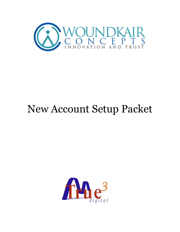

# New Account Setup Packet

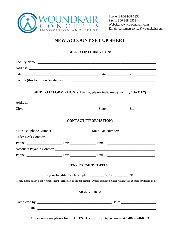

 Fax: 1-866-968-6353 Website: www.woundkair.com Email: customerservice@woundkair.com

### **NEW ACCOUNT SET UP SHEET**

#### **BILL TO INFORMATION:**

|                                                                                                                                            | SHIP TO INFORMATION: (If Same, please indicate by writing "SAME") |                             |  |  |  |
|--------------------------------------------------------------------------------------------------------------------------------------------|-------------------------------------------------------------------|-----------------------------|--|--|--|
|                                                                                                                                            |                                                                   |                             |  |  |  |
|                                                                                                                                            |                                                                   |                             |  |  |  |
|                                                                                                                                            |                                                                   | <b>CONTACT INFORMATION:</b> |  |  |  |
|                                                                                                                                            |                                                                   |                             |  |  |  |
|                                                                                                                                            |                                                                   |                             |  |  |  |
|                                                                                                                                            |                                                                   |                             |  |  |  |
|                                                                                                                                            |                                                                   |                             |  |  |  |
|                                                                                                                                            |                                                                   |                             |  |  |  |
|                                                                                                                                            |                                                                   | <b>TAX EXEMPT STATUS:</b>   |  |  |  |
|                                                                                                                                            |                                                                   |                             |  |  |  |
| If Yes, please attach a copy of tax-exempt certificate to the application. Orders cannot be placed without tax-exempt certificate on file. |                                                                   |                             |  |  |  |
|                                                                                                                                            |                                                                   | <b>SIGNATURE:</b>           |  |  |  |
|                                                                                                                                            |                                                                   |                             |  |  |  |
|                                                                                                                                            | Title:                                                            |                             |  |  |  |

**Once complete please fax to ATTN: Accounting Department at 1-866-968-6353**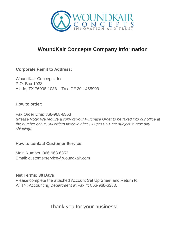

## **WoundKair Concepts Company Information**

#### **Corporate Remit to Address:**

WoundKair Concepts, Inc P.O. Box 1038 Aledo, TX 76008-1038 Tax ID# 20-1455903

#### **How to order:**

Fax Order Line: 866-968-6353 *(Please Note: We require a copy of your Purchase Order to be faxed into our office at the number above. All orders faxed in after 3:00pm CST are subject to next day shipping.)* 

#### **How to contact Customer Service:**

Main Number: 866-968-6352 Email: customerservice@woundkair.com

#### **Net Terms: 30 Days**

Please complete the attached Account Set Up Sheet and Return to: ATTN: Accounting Department at Fax #: 866-968-6353.

## Thank you for your business!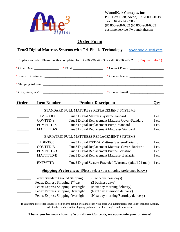

 **WoundKair Concepts, Inc.**  P.O. Box 1038, Aledo, TX 76008-1038 Tax ID# 20-1455903 (P) 866-968-6352 (F) 866-968-6353 customerservice@woundkair.com

#### **Order Form**

|                                  |                                            |                                                            | <b>True3 Digital Mattress Systems with Tri-Phasic Technology</b><br>www.true3digital.com                                |            |  |
|----------------------------------|--------------------------------------------|------------------------------------------------------------|-------------------------------------------------------------------------------------------------------------------------|------------|--|
|                                  |                                            |                                                            | To place an order: Please fax this completed form to 866-968-6353 or call 866-968-6352<br>(Required Info <sup>*</sup> ) |            |  |
|                                  |                                            |                                                            |                                                                                                                         |            |  |
|                                  |                                            |                                                            |                                                                                                                         |            |  |
|                                  |                                            |                                                            |                                                                                                                         |            |  |
|                                  |                                            |                                                            |                                                                                                                         |            |  |
| Order                            | <b>Item Number</b>                         |                                                            | <b>Product Description</b>                                                                                              | <b>Qty</b> |  |
|                                  |                                            |                                                            | STANDARD FULL MATTRESS REPLACEMENT SYSTEMS                                                                              |            |  |
|                                  | <b>TTMS-3000</b>                           | True3 Digital Mattress System-Standard                     |                                                                                                                         | 1 ea.      |  |
|                                  | <b>COVTTD-S</b>                            | True3 Digital Replacement Mattress Cover-Standard<br>1 ea. |                                                                                                                         |            |  |
|                                  | <b>PUMPTTD-S</b>                           | True3 Digital Replacement Pump-Standard<br>1 ea.           |                                                                                                                         |            |  |
| $\mathcal{L} = \mathcal{L}$      | <b>MATTTTD-S</b>                           | True3 Digital Replacement Mattress- Standard               |                                                                                                                         |            |  |
|                                  |                                            |                                                            | BARIATRIC FULL MATTRESS REPLACEMENT SYSTEMS                                                                             |            |  |
| $\overline{\phantom{a}}$         | <b>TTDE-3030</b>                           | True3 Digital EXTRA Mattress System-Bariatric              |                                                                                                                         | 1 ea.      |  |
| <u> 1999 - Johann Barnett, f</u> | COVTTD-B                                   | True3 Digital Replacement Mattress Cover- Bariatric        |                                                                                                                         | 1 ea.      |  |
|                                  | PUMPTTD-B                                  | True3 Digital Replacement Pump- Bariatric                  |                                                                                                                         | 1 ea.      |  |
|                                  | <b>MATTTTD-B</b>                           |                                                            | True3 Digital Replacement Mattress- Bariatric                                                                           | 1 ea.      |  |
| $\overline{\phantom{a}}$         | <b>EXTWTTD</b>                             |                                                            | True3 Digital System Extended Warranty (addt'l 24 mo.)                                                                  | 1 ea.      |  |
|                                  |                                            |                                                            | <b>Shipping Preferences</b> (Please select your shipping preference below)                                              |            |  |
| $\overline{\phantom{a}}$         | Fedex Standard Ground Shipping             |                                                            | (3 to 5 business days)                                                                                                  |            |  |
| <u> Liberatura de la p</u>       | Fedex Express Shipping 2 <sup>nd</sup> day |                                                            | (2 business days)                                                                                                       |            |  |
|                                  | Fedex Express Shipping Overnight           |                                                            | (Next day morning delivery)                                                                                             |            |  |
|                                  | Fedex Express Shipping Overnight           |                                                            | (Next day afternoon delivery)                                                                                           |            |  |
|                                  | Fedex Express Shipping Overnight           |                                                            | (Next day morning/Saturday delivery)                                                                                    |            |  |

If a shipping preference is not selected prior to faxing or calling order, your order will automatically ship Fedex Standard Ground. All standard and expedited shipping preferences will be charged to the customer.

**Thank you for your choosing WoundKair Concepts, we appreciate your business!**